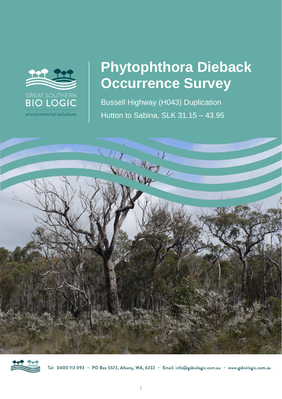

# **Phytophthora Dieback Occurrence Survey**

Bussell Highway (H043) Duplication Hutton to Sabina, SLK 31.15 – 43.95





Tel: 0400 113 093 · PO Box 5573, Albany, WA, 6332 · Email: info@gsbiologic.com.au · www.gsbiologic.com.au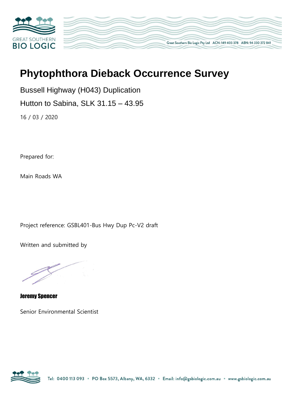

# **Phytophthora Dieback Occurrence Survey**

Great Southern Bio Logic Pty Ltd ACN: 149 403 378 ABN: 94 330 372 841

Bussell Highway (H043) Duplication

Hutton to Sabina, SLK 31.15 – 43.95

16 / 03 / 2020

Prepared for:

Main Roads WA

Project reference: GSBL401-Bus Hwy Dup Pc-V2 draft

Written and submitted by

Jeremy Spencer

Senior Environmental Scientist

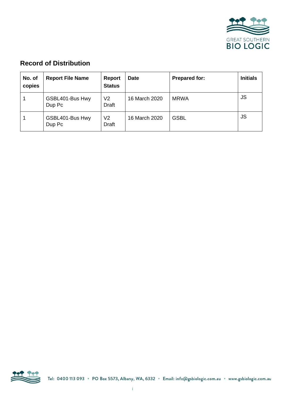

# **Record of Distribution**

| No. of<br>copies | <b>Report File Name</b>   | <b>Report</b><br><b>Status</b> | <b>Date</b>   | <b>Prepared for:</b> | <b>Initials</b> |
|------------------|---------------------------|--------------------------------|---------------|----------------------|-----------------|
|                  | GSBL401-Bus Hwy<br>Dup Pc | V <sub>2</sub><br>Draft        | 16 March 2020 | <b>MRWA</b>          | JS              |
|                  | GSBL401-Bus Hwy<br>Dup Pc | V2<br><b>Draft</b>             | 16 March 2020 | <b>GSBL</b>          | <b>JS</b>       |

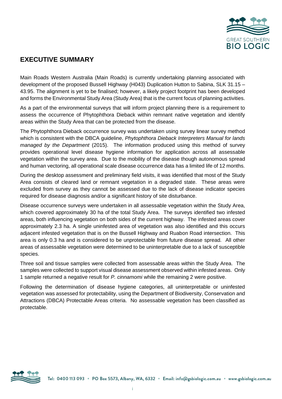

### **EXECUTIVE SUMMARY**

Main Roads Western Australia (Main Roads) is currently undertaking planning associated with development of the proposed Bussell Highway (H043) Duplication Hutton to Sabina, SLK 31.15 – 43.95. The alignment is yet to be finalised; however, a likely project footprint has been developed and forms the Environmental Study Area (Study Area) that is the current focus of planning activities.

As a part of the environmental surveys that will inform project planning there is a requirement to assess the occurrence of Phytophthora Dieback within remnant native vegetation and identify areas within the Study Area that can be protected from the disease.

The Phytophthora Dieback occurrence survey was undertaken using survey linear survey method which is consistent with the DBCA guideline, *Phytophthora Dieback Interpreters Manual for lands managed by the Department* (2015). The information produced using this method of survey provides operational level disease hygiene information for application across all assessable vegetation within the survey area. Due to the mobility of the disease though autonomous spread and human vectoring, all operational scale disease occurrence data has a limited life of 12 months.

During the desktop assessment and preliminary field visits, it was identified that most of the Study Area consists of cleared land or remnant vegetation in a degraded state. These areas were excluded from survey as they cannot be assessed due to the lack of disease indicator species required for disease diagnosis and/or a significant history of site disturbance.

Disease occurrence surveys were undertaken in all assessable vegetation within the Study Area, which covered approximately 30 ha of the total Study Area. The surveys identified two infested areas, both influencing vegetation on both sides of the current highway. The infested areas cover approximately 2.3 ha. A single uninfested area of vegetation was also identified and this occurs adjacent infested vegetation that is on the Bussell Highway and Ruabon Road intersection. This area is only 0.3 ha and is considered to be unprotectable from future disease spread. All other areas of assessable vegetation were determined to be uninterpretable due to a lack of susceptible species.

Three soil and tissue samples were collected from assessable areas within the Study Area. The samples were collected to support visual disease assessment observed within infested areas. Only 1 sample returned a negative result for *P. cinnamomi* while the remaining 2 were positive.

Following the determination of disease hygiene categories, all uninterpretable or uninfested vegetation was assessed for protectability, using the Department of Biodiversity, Conservation and Attractions (DBCA) Protectable Areas criteria. No assessable vegetation has been classified as protectable.

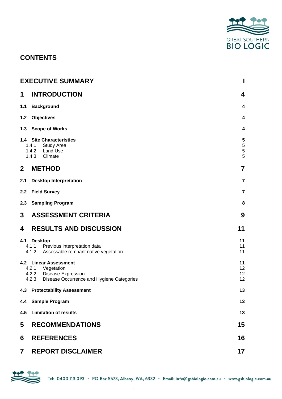

# **CONTENTS**

|                  | <b>EXECUTIVE SUMMARY</b>                                                                                                    | I                          |
|------------------|-----------------------------------------------------------------------------------------------------------------------------|----------------------------|
| 1                | <b>INTRODUCTION</b>                                                                                                         | 4                          |
| 1.1              | <b>Background</b>                                                                                                           | 4                          |
| 1.2              | <b>Objectives</b>                                                                                                           | 4                          |
| 1.3              | <b>Scope of Works</b>                                                                                                       | 4                          |
|                  | 1.4 Site Characteristics<br>1.4.1 Study Area<br>1.4.2 Land Use<br>1.4.3 Climate                                             | 5<br>$\mathbf 5$<br>5<br>5 |
| $\boldsymbol{2}$ | <b>METHOD</b>                                                                                                               | 7                          |
| 2.1              | <b>Desktop Interpretation</b>                                                                                               | 7                          |
| 2.2              | <b>Field Survey</b>                                                                                                         | $\overline{\mathbf{r}}$    |
| 2.3              | <b>Sampling Program</b>                                                                                                     | 8                          |
| 3                | <b>ASSESSMENT CRITERIA</b>                                                                                                  | 9                          |
| 4                | <b>RESULTS AND DISCUSSION</b>                                                                                               | 11                         |
| 4.1              | <b>Desktop</b><br>4.1.1 Previous interpretation data<br>4.1.2 Assessable remnant native vegetation                          | 11<br>11<br>11             |
|                  | 4.2 Linear Assessment<br>4.2.1 Vegetation<br>4.2.2 Disease Expression<br>4.2.3<br>Disease Occurrence and Hygiene Categories | 11<br>12<br>12<br>12       |
| 4.3              | <b>Protectability Assessment</b>                                                                                            | 13                         |
| 4.4              | <b>Sample Program</b>                                                                                                       | 13                         |
| 4.5              | <b>Limitation of results</b>                                                                                                | 13                         |
| 5                | <b>RECOMMENDATIONS</b>                                                                                                      | 15                         |
| 6                | <b>REFERENCES</b>                                                                                                           | 16                         |
| 7                | <b>REPORT DISCLAIMER</b>                                                                                                    | 17                         |

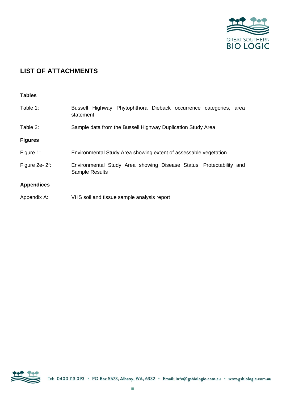

# **LIST OF ATTACHMENTS**

#### **Tables**

| Table 1:          | Bussell Highway Phytophthora Dieback occurrence categories, area<br>statement                |  |  |  |
|-------------------|----------------------------------------------------------------------------------------------|--|--|--|
| Table 2:          | Sample data from the Bussell Highway Duplication Study Area                                  |  |  |  |
| <b>Figures</b>    |                                                                                              |  |  |  |
| Figure 1:         | Environmental Study Area showing extent of assessable vegetation                             |  |  |  |
| Figure 2e-2f:     | Environmental Study Area showing Disease Status, Protectability and<br><b>Sample Results</b> |  |  |  |
| <b>Appendices</b> |                                                                                              |  |  |  |
| Appendix A:       | VHS soil and tissue sample analysis report                                                   |  |  |  |

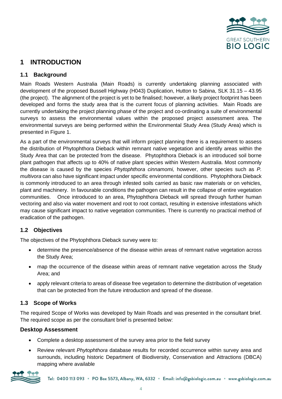

## **1 INTRODUCTION**

#### **1.1 Background**

Main Roads Western Australia (Main Roads) is currently undertaking planning associated with development of the proposed Bussell Highway (H043) Duplication, Hutton to Sabina, SLK 31.15 – 43.95 (the project). The alignment of the project is yet to be finalised; however, a likely project footprint has been developed and forms the study area that is the current focus of planning activities. Main Roads are currently undertaking the project planning phase of the project and co-ordinating a suite of environmental surveys to assess the environmental values within the proposed project assessment area. The environmental surveys are being performed within the Environmental Study Area (Study Area) which is presented in Figure 1.

As a part of the environmental surveys that will inform project planning there is a requirement to assess the distribution of Phytophthora Dieback within remnant native vegetation and identify areas within the Study Area that can be protected from the disease. Phytophthora Dieback is an introduced soil borne plant pathogen that affects up to 40% of native plant species within Western Australia. Most commonly the disease is caused by the species *Phytophthora cinnamomi,* however, other species such as *P. multivora* can also have significant impact under specific environmental conditions. Phytophthora Dieback is commonly introduced to an area through infested soils carried as basic raw materials or on vehicles, plant and machinery. In favourable conditions the pathogen can result in the collapse of entire vegetation communities. Once introduced to an area, Phytophthora Dieback will spread through further human vectoring and also via water movement and root to root contact, resulting in extensive infestations which may cause significant impact to native vegetation communities. There is currently no practical method of eradication of the pathogen.

#### **1.2 Objectives**

The objectives of the Phytophthora Dieback survey were to:

- determine the presence/absence of the disease within areas of remnant native vegetation across the Study Area;
- map the occurrence of the disease within areas of remnant native vegetation across the Study Area; and
- apply relevant criteria to areas of disease free vegetation to determine the distribution of vegetation that can be protected from the future introduction and spread of the disease.

#### **1.3 Scope of Works**

The required Scope of Works was developed by Main Roads and was presented in the consultant brief. The required scope as per the consultant brief is presented below:

#### **Desktop Assessment**

- Complete a desktop assessment of the survey area prior to the field survey
- Review relevant *Phytophthora* database results for recorded occurrence within survey area and surrounds, including historic Department of Biodiversity, Conservation and Attractions (DBCA) mapping where available

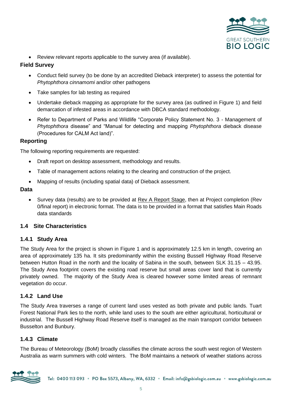

• Review relevant reports applicable to the survey area (if available).

#### **Field Survey**

- Conduct field survey (to be done by an accredited Dieback interpreter) to assess the potential for *Phytophthora cinnamomi* and/or other pathogens
- Take samples for lab testing as required
- Undertake dieback mapping as appropriate for the survey area (as outlined in Figure 1) and field demarcation of infested areas in accordance with DBCA standard methodology.
- Refer to Department of Parks and Wildlife "Corporate Policy Statement No. 3 Management of *Phytophthora* disease" and "Manual for detecting and mapping *Phytophthora* dieback disease (Procedures for CALM Act land)".

#### **Reporting**

The following reporting requirements are requested:

- Draft report on desktop assessment, methodology and results.
- Table of management actions relating to the clearing and construction of the project.
- Mapping of results (including spatial data) of Dieback assessment.

#### **Data**

• Survey data (results) are to be provided at Rev A Report Stage, then at Project completion (Rev 0/final report) in electronic format. The data is to be provided in a format that satisfies Main Roads data standards

#### **1.4 Site Characteristics**

#### **1.4.1 Study Area**

The Study Area for the project is shown in Figure 1 and is approximately 12.5 km in length, covering an area of approximately 135 ha. It sits predominantly within the existing Bussell Highway Road Reserve between Hutton Road in the north and the locality of Sabina in the south, between SLK 31.15 – 43.95. The Study Area footprint covers the existing road reserve but small areas cover land that is currently privately owned. The majority of the Study Area is cleared however some limited areas of remnant vegetation do occur.

#### **1.4.2 Land Use**

The Study Area traverses a range of current land uses vested as both private and public lands. Tuart Forest National Park lies to the north, while land uses to the south are either agricultural, horticultural or industrial. The Bussell Highway Road Reserve itself is managed as the main transport corridor between Busselton and Bunbury.

#### **1.4.3 Climate**

The Bureau of Meteorology (BoM) broadly classifies the climate across the south west region of Western Australia as warm summers with cold winters. The BoM maintains a network of weather stations across

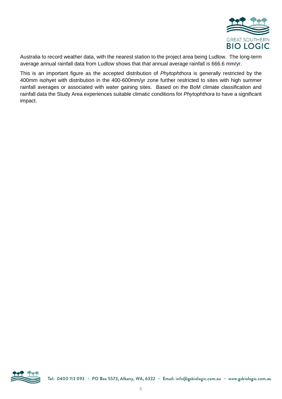

Australia to record weather data, with the nearest station to the project area being Ludlow. The long-term average annual rainfall data from Ludlow shows that that annual average rainfall is 666.6 mm/yr.

This is an important figure as the accepted distribution of *Phytophthora* is generally restricted by the 400mm isohyet with distribution in the 400-600mm/yr zone further restricted to sites with high summer rainfall averages or associated with water gaining sites. Based on the BoM climate classification and rainfall data the Study Area experiences suitable climatic conditions for *Phytophthora* to have a significant impact.

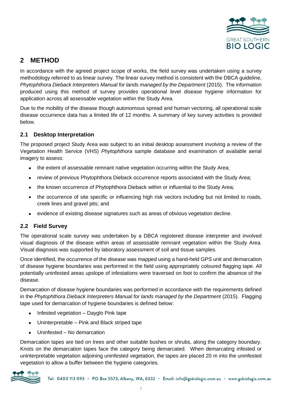

# **2 METHOD**

In accordance with the agreed project scope of works, the field survey was undertaken using a survey methodology referred to as linear survey. The linear survey method is consistent with the DBCA guideline, *Phytophthora Dieback Interpreters Manual for lands managed by the Department (2015).* The information produced using this method of survey provides operational level disease hygiene information for application across all assessable vegetation within the Study Area.

Due to the mobility of the disease though autonomous spread and human vectoring, all operational scale disease occurrence data has a limited life of 12 months. A summary of key survey activities is provided below.

#### **2.1 Desktop Interpretation**

The proposed project Study Area was subject to an initial desktop assessment involving a review of the Vegetation Health Service (VHS) *Phytophthora* sample database and examination of available aerial imagery to assess:

- the extent of assessable remnant native vegetation occurring within the Study Area;
- review of previous Phytophthora Dieback occurrence reports associated with the Study Area;
- the known occurrence of Phytophthora Dieback within or influential to the Study Area;
- the occurrence of site specific or influencing high risk vectors including but not limited to roads, creek lines and gravel pits; and
- evidence of existing disease signatures such as areas of obvious vegetation decline.

#### **2.2 Field Survey**

The operational scale survey was undertaken by a DBCA registered disease interpreter and involved visual diagnosis of the disease within areas of assessable remnant vegetation within the Study Area. Visual diagnosis was supported by laboratory assessment of soil and tissue samples.

Once identified, the occurrence of the disease was mapped using a hand-held GPS unit and demarcation of disease hygiene boundaries was performed in the field using appropriately coloured flagging tape. All potentially uninfested areas upslope of infestations were traversed on foot to confirm the absence of the disease.

Demarcation of disease hygiene boundaries was performed in accordance with the requirements defined in the *Phytophthora Dieback Interpreters Manual for lands managed by the Department* (2015). Flagging tape used for demarcation of hygiene boundaries is defined below:

- Infested vegetation Dayglo Pink tape
- Uninterpretable Pink and Black striped tape
- Uninfested No demarcation

Demarcation tapes are tied on trees and other suitable bushes or shrubs, along the category boundary. Knots on the demarcation tapes face the category being demarcated. When demarcating infested or uninterpretable vegetation adjoining uninfested vegetation, the tapes are placed 20 m into the uninfested vegetation to allow a buffer between the hygiene categories.

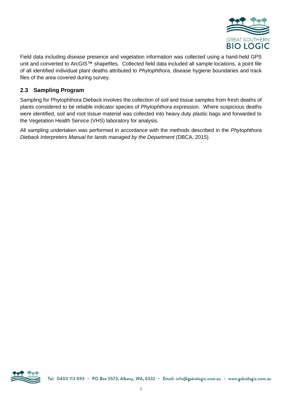

Field data including disease presence and vegetation information was collected using a hand-held GPS unit and converted to ArcGIS™ shapefiles. Collected field data included all sample locations, a point file of all identified individual plant deaths attributed to *Phytophthora*, disease hygiene boundaries and track files of the area covered during survey.

#### **2.3 Sampling Program**

Sampling for Phytophthora Dieback involves the collection of soil and tissue samples from fresh deaths of plants considered to be reliable indicator species of *Phytophthora* expression. Where suspicious deaths were identified, soil and root tissue material was collected into heavy duty plastic bags and forwarded to the Vegetation Health Service (VHS) laboratory for analysis.

All sampling undertaken was performed in accordance with the methods described in the *Phytophthora Dieback Interpreters Manual for lands managed by the Department* (DBCA, 2015).

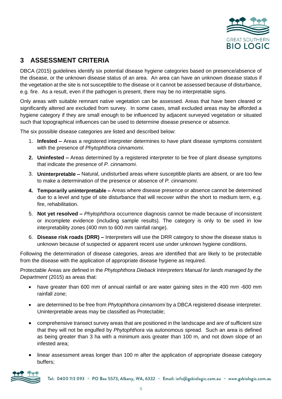

# **3 ASSESSMENT CRITERIA**

DBCA (2015) guidelines identify six potential disease hygiene categories based on presence/absence of the disease, or the unknown disease status of an area. An area can have an unknown disease status if the vegetation at the site is not susceptible to the disease or it cannot be assessed because of disturbance, e.g. fire. As a result, even if the pathogen is present, there may be no interpretable signs.

Only areas with suitable remnant native vegetation can be assessed. Areas that have been cleared or significantly altered are excluded from survey. In some cases, small excluded areas may be afforded a hygiene category if they are small enough to be influenced by adjacent surveyed vegetation or situated such that topographical influences can be used to determine disease presence or absence.

The six possible disease categories are listed and described below:

- 1. **Infested –** Areas a registered interpreter determines to have plant disease symptoms consistent with the presence of *Phytophthora cinnamomi*.
- **2. Uninfested –** Areas determined by a registered interpreter to be free of plant disease symptoms that indicate the presence of *P. cinnamomi*.
- 3. **Uninterpretable –** Natural, undisturbed areas where susceptible plants are absent, or are too few to make a determination of the presence or absence of *P. cinnamomi*.
- **4. Temporarily uninterpretable –** Areas where disease presence or absence cannot be determined due to a level and type of site disturbance that will recover within the short to medium term, e.g. fire, rehabilitation.
- 5. **Not yet resolved –** *Phytophthora* occurrence diagnosis cannot be made because of inconsistent or incomplete evidence (including sample results). The category is only to be used in low interpretability zones (400 mm to 600 mm rainfall range).
- 6. **Disease risk roads (DRR) –** Interpreters will use the DRR category to show the disease status is unknown because of suspected or apparent recent use under unknown hygiene conditions.

Following the determination of disease categories, areas are identified that are likely to be protectable from the disease with the application of appropriate disease hygiene as required.

Protectable Areas are defined in the *Phytophthora Dieback Interpreters Manual for lands managed by the Department* (2015) as areas that:

- have greater than 600 mm of annual rainfall or are water gaining sites in the 400 mm -600 mm rainfall zone;
- are determined to be free from *Phytophthora cinnamomi* by a DBCA registered disease interpreter. Uninterpretable areas may be classified as Protectable;
- comprehensive transect survey areas that are positioned in the landscape and are of sufficient size that they will not be engulfed by *Phytophthora* via autonomous spread. Such an area is defined as being greater than 3 ha with a minimum axis greater than 100 m, and not down slope of an infested area;
- linear assessment areas longer than 100 m after the application of appropriate disease category buffers;

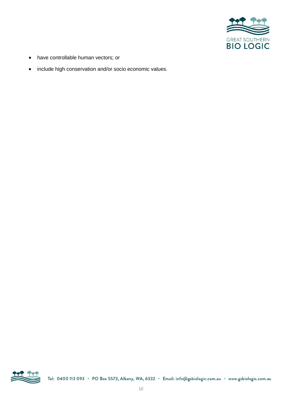

- have controllable human vectors; or
- include high conservation and/or socio economic values.

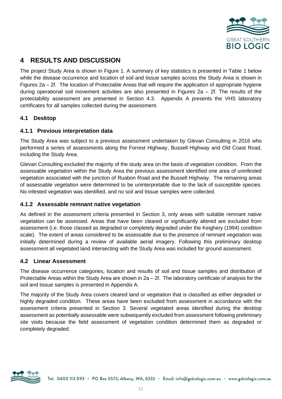

# **4 RESULTS AND DISCUSSION**

The project Study Area is shown in Figure 1. A summary of key statistics is presented in Table 1 below while the disease occurrence and location of soil and tissue samples across the Study Area is shown in Figures 2a – 2f. The location of Protectable Areas that will require the application of appropriate hygiene during operational soil movement activities are also presented in Figures 2a  $-$  2f. The results of the protectability assessment are presented in Section 4.3. Appendix A presents the VHS laboratory certificates for all samples collected during the assessment.

#### **4.1 Desktop**

#### **4.1.1 Previous interpretation data**

The Study Area was subject to a previous assessment undertaken by Glevan Consulting in 2016 who performed a series of assessments along the Forrest Highway, Bussell Highway and Old Coast Road, including the Study Area.

Glevan Consulting excluded the majority of the study area on the basis of vegetation condition. From the assessable vegetation within the Study Area the previous assessment identified one area of uninfested vegetation associated with the junction of Ruabon Road and the Bussell Highway. The remaining areas of assessable vegetation were determined to be uninterpretable due to the lack of susceptible species. No infested vegetation was identified, and no soil and tissue samples were collected.

#### **4.1.2 Assessable remnant native vegetation**

As defined in the assessment criteria presented in Section 3, only areas with suitable remnant native vegetation can be assessed. Areas that have been cleared or significantly altered are excluded from assessment (i.e. those classed as degraded or completely degraded under the Keighery (1994) condition scale). The extent of areas considered to be assessable due to the presence of remnant vegetation was initially determined during a review of available aerial imagery. Following this preliminary desktop assessment all vegetated land intersecting with the Study Area was included for ground assessment.

#### **4.2 Linear Assessment**

The disease occurrence categories, location and results of soil and tissue samples and distribution of Protectable Areas within the Study Area are shown in 2a – 2f. The laboratory certificate of analysis for the soil and tissue samples is presented in Appendix A.

The majority of the Study Area covers cleared land or vegetation that is classified as either degraded or highly degraded condition. These areas have been excluded from assessment in accordance with the assessment criteria presented in Section 3. Several vegetated areas identified during the desktop assessment as potentially assessable were subsequently excluded from assessment following preliminary site visits because the field assessment of vegetation condition determined them as degraded or completely degraded.

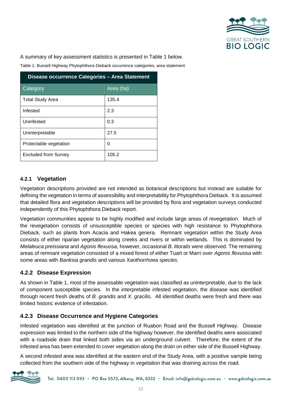

A summary of key assessment statistics is presented in Table 1 below.

Table 1: Bussell Highway Phytophthora Dieback occurrence categories, area statement

| Disease occurrence Categories - Area Statement |           |  |  |  |
|------------------------------------------------|-----------|--|--|--|
| Category                                       | Area (ha) |  |  |  |
| <b>Total Study Area</b>                        | 135.4     |  |  |  |
| Infested                                       | 2.3       |  |  |  |
| Uninfested                                     | 0.3       |  |  |  |
| Uninterpretable                                | 27.5      |  |  |  |
| Protectable vegetation                         | 0         |  |  |  |
| <b>Excluded from Survey</b>                    | 105.2     |  |  |  |

#### **4.2.1 Vegetation**

Vegetation descriptions provided are not intended as botanical descriptions but instead are suitable for defining the vegetation in terms of assessibility and interpretability for Phytophthora Dieback. It is assumed that detailed flora and vegetation descriptions will be provided by flora and vegetation surveys conducted independently of this Phytophthora Dieback report.

Vegetation communities appear to be highly modified and include large areas of revegetation. Much of the revegetation consists of unsusceptible species or species with high resistance to Phytophthora Dieback, such as plants from Acacia and Hakea genera. Remnant vegetation within the Study Area consists of either riparian vegetation along creeks and rivers or within wetlands. This is dominated by *Melaleuca preissiana* and *Agonis flexuosa,* however, occasional *B. litoralis* were observed. The remaining areas of remnant vegetation consisted of a mixed forest of either Tuart or Marri over *Agonis flexuosa* with some areas with *Banksia grandis* and various *Xanthorrhoea species*.

#### **4.2.2 Disease Expression**

As shown in Table 1, most of the assessable vegetation was classified as uninterpretable, due to the lack of component susceptible species. In the interpretable infested vegetation, the disease was identified through recent fresh deaths of *B. grandis* and *X. gracilis*. All identified deaths were fresh and there was limited historic evidence of infestation.

#### **4.2.3 Disease Occurrence and Hygiene Categories**

Infested vegetation was identified at the junction of Ruabon Road and the Bussell Highway. Disease expression was limited to the northern side of the highway however, the identified deaths were associated with a roadside drain that linked both sides via an underground culvert. Therefore, the extent of the infested area has been extended to cover vegetation along the drain on either side of the Bussell Highway.

A second infested area was identified at the eastern end of the Study Area, with a positive sample being collected from the southern side of the highway in vegetation that was draining across the road.

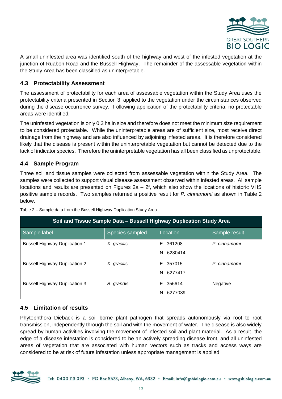

A small uninfested area was identified south of the highway and west of the infested vegetation at the junction of Ruabon Road and the Bussell Highway. The remainder of the assessable vegetation within the Study Area has been classified as uninterpretable.

#### **4.3 Protectability Assessment**

The assessment of protectability for each area of assessable vegetation within the Study Area uses the protectability criteria presented in Section 3, applied to the vegetation under the circumstances observed during the disease occurrence survey. Following application of the protectability criteria, no protectable areas were identified.

The uninfested vegetation is only 0.3 ha in size and therefore does not meet the minimum size requirement to be considered protectable. While the uninterpretable areas are of sufficient size, most receive direct drainage from the highway and are also influenced by adjoining infested areas. It is therefore considered likely that the disease is present within the uninterpretable vegetation but cannot be detected due to the lack of indicator species. Therefore the uninterpretable vegetation has all been classified as unprotectable.

#### **4.4 Sample Program**

Three soil and tissue samples were collected from assessable vegetation within the Study Area. The samples were collected to support visual disease assessment observed within infested areas. All sample locations and results are presented on Figures 2a – 2f, which also show the locations of historic VHS positive sample records. Two samples returned a positive result for *P. cinnamomi* as shown in Table 2 below.

| Soil and Tissue Sample Data - Bussell Highway Duplication Study Area |                 |              |               |  |  |  |  |
|----------------------------------------------------------------------|-----------------|--------------|---------------|--|--|--|--|
| Sample label                                                         | Species sampled | Location     | Sample result |  |  |  |  |
| <b>Bussell Highway Duplication 1</b>                                 | X. gracilis     | 361208<br>E. | P. cinnamomi  |  |  |  |  |
|                                                                      |                 | 6280414<br>N |               |  |  |  |  |
| <b>Bussell Highway Duplication 2</b>                                 | X. gracilis     | E 357015     | P. cinnamomi  |  |  |  |  |
|                                                                      |                 | 6277417<br>N |               |  |  |  |  |
| <b>Bussell Highway Duplication 3</b>                                 | B. grandis      | 356614<br>E. | Negative      |  |  |  |  |
|                                                                      |                 | 6277039<br>N |               |  |  |  |  |

Table 2 – Sample data from the Bussell Highway Duplication Study Area

#### **4.5 Limitation of results**

Phytophthora Dieback is a soil borne plant pathogen that spreads autonomously via root to root transmission, independently through the soil and with the movement of water. The disease is also widely spread by human activities involving the movement of infested soil and plant material. As a result, the edge of a disease infestation is considered to be an actively spreading disease front, and all uninfested areas of vegetation that are associated with human vectors such as tracks and access ways are considered to be at risk of future infestation unless appropriate management is applied.

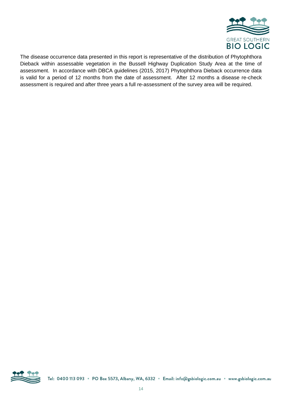

The disease occurrence data presented in this report is representative of the distribution of Phytophthora Dieback within assessable vegetation in the Bussell Highway Duplication Study Area at the time of assessment. In accordance with DBCA guidelines (2015, 2017) Phytophthora Dieback occurrence data is valid for a period of 12 months from the date of assessment. After 12 months a disease re-check assessment is required and after three years a full re-assessment of the survey area will be required.

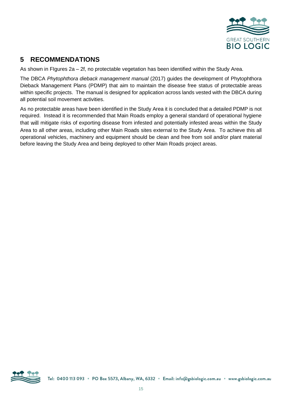

# **5 RECOMMENDATIONS**

As shown in FIgures 2a – 2f, no protectable vegetation has been identified within the Study Area.

The DBCA *Phytophthora dieback management manual* (2017) guides the development of Phytophthora Dieback Management Plans (PDMP) that aim to maintain the disease free status of protectable areas within specific projects. The manual is designed for application across lands vested with the DBCA during all potential soil movement activities.

As no protectable areas have been identified in the Study Area it is concluded that a detailed PDMP is not required. Instead it is recommended that Main Roads employ a general standard of operational hygiene that will mitigate risks of exporting disease from infested and potentially infested areas within the Study Area to all other areas, including other Main Roads sites external to the Study Area. To achieve this all operational vehicles, machinery and equipment should be clean and free from soil and/or plant material before leaving the Study Area and being deployed to other Main Roads project areas.

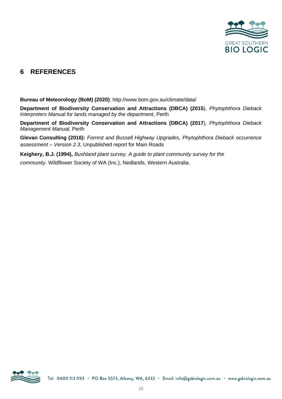

## **6 REFERENCES**

**Bureau of Meteorology (BoM) (2020)**: http://www.bom.gov.au/climate/data/

**Department of Biodiversity Conservation and Attractions (DBCA) (2015**), *Phytophthora Dieback Interpreters Manual for lands managed by the department*, Perth

**Department of Biodiversity Conservation and Attractions (DBCA) (2017**), *Phytophthora Dieback Management Manual*, Perth

**Glevan Consulting (2016):** *Forrest and Bussell Highway Upgrades, Phytophthora Dieback occurrence assessment – Version 2.3*, Unpublished report for Main Roads

**Keighery, B.J. (1994),** *Bushland plant survey. A guide to plant community survey for the*

*community*. Wildflower Society of WA (Inc.), Nedlands, Western Australia.

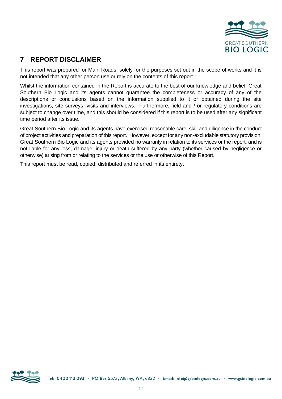

# **7 REPORT DISCLAIMER**

This report was prepared for Main Roads, solely for the purposes set out in the scope of works and it is not intended that any other person use or rely on the contents of this report.

Whilst the information contained in the Report is accurate to the best of our knowledge and belief, Great Southern Bio Logic and its agents cannot guarantee the completeness or accuracy of any of the descriptions or conclusions based on the information supplied to it or obtained during the site investigations, site surveys, visits and interviews. Furthermore, field and / or regulatory conditions are subject to change over time, and this should be considered if this report is to be used after any significant time period after its issue.

Great Southern Bio Logic and its agents have exercised reasonable care, skill and diligence in the conduct of project activities and preparation of this report. However, except for any non-excludable statutory provision, Great Southern Bio Logic and its agents provided no warranty in relation to its services or the report, and is not liable for any loss, damage, injury or death suffered by any party (whether caused by negligence or otherwise) arising from or relating to the services or the use or otherwise of this Report.

This report must be read, copied, distributed and referred in its entirety.